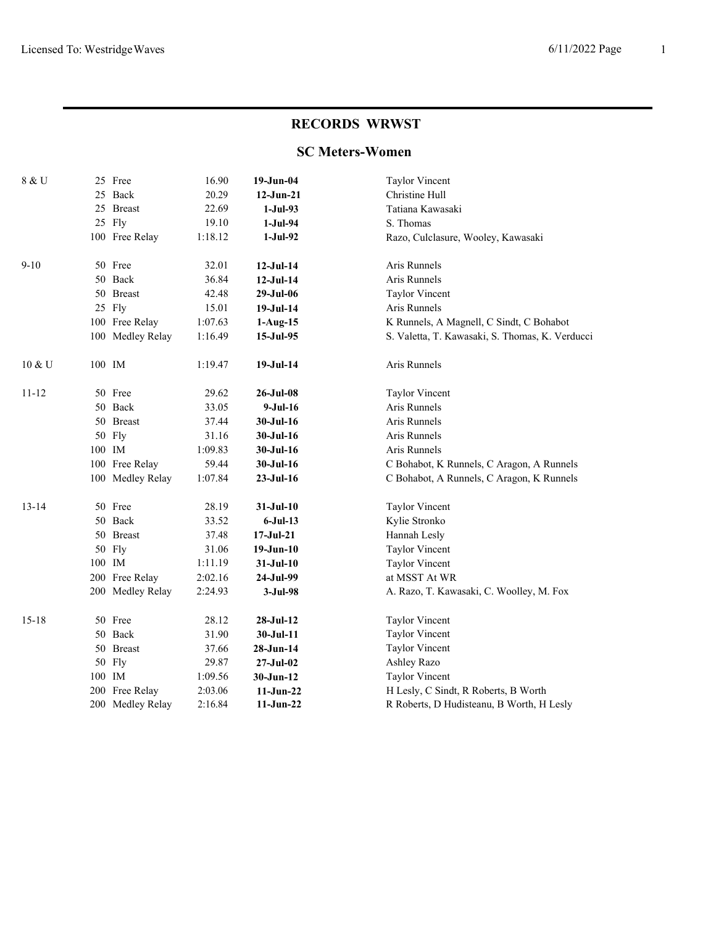# **RECORDS WRWST**

## **SC Meters-Women**

| 8 & U     |        | 25 Free          | 16.90   | $19-Jun-04$      | <b>Taylor Vincent</b>                           |
|-----------|--------|------------------|---------|------------------|-------------------------------------------------|
|           |        | 25 Back          | 20.29   | $12-Jun-21$      | Christine Hull                                  |
|           |        | 25 Breast        | 22.69   | $1-Jul-93$       | Tatiana Kawasaki                                |
|           |        | 25 Fly           | 19.10   | $1-Jul-94$       | S. Thomas                                       |
|           |        | 100 Free Relay   | 1:18.12 | $1-Jul-92$       | Razo, Culclasure, Wooley, Kawasaki              |
| $9 - 10$  |        | 50 Free          | 32.01   | $12-Jul-14$      | Aris Runnels                                    |
|           |        | 50 Back          | 36.84   | $12-Jul-14$      | Aris Runnels                                    |
|           |        | 50 Breast        | 42.48   | 29-Jul-06        | <b>Taylor Vincent</b>                           |
|           |        | 25 Fly           | 15.01   | $19-Jul-14$      | Aris Runnels                                    |
|           |        | 100 Free Relay   | 1:07.63 | $1-Aug-15$       | K Runnels, A Magnell, C Sindt, C Bohabot        |
|           |        | 100 Medley Relay | 1:16.49 | 15-Jul-95        | S. Valetta, T. Kawasaki, S. Thomas, K. Verducci |
| 10 & U    | 100 IM |                  | 1:19.47 | $19-Jul-14$      | Aris Runnels                                    |
| $11 - 12$ |        | 50 Free          | 29.62   | $26 - Jul - 08$  | <b>Taylor Vincent</b>                           |
|           |        | 50 Back          | 33.05   | $9-Jul-16$       | Aris Runnels                                    |
|           |        | 50 Breast        | 37.44   | 30-Jul-16        | Aris Runnels                                    |
|           |        | 50 Fly           | 31.16   | $30 -$ Jul $-16$ | Aris Runnels                                    |
|           | 100 IM |                  | 1:09.83 | $30-Jul-16$      | Aris Runnels                                    |
|           |        | 100 Free Relay   | 59.44   | 30-Jul-16        | C Bohabot, K Runnels, C Aragon, A Runnels       |
|           |        | 100 Medley Relay | 1:07.84 | $23-Jul-16$      | C Bohabot, A Runnels, C Aragon, K Runnels       |
| $13 - 14$ |        | 50 Free          | 28.19   | $31-Jul-10$      | <b>Taylor Vincent</b>                           |
|           |        | 50 Back          | 33.52   | $6-Jul-13$       | Kylie Stronko                                   |
|           |        | 50 Breast        | 37.48   | $17-Jul-21$      | Hannah Lesly                                    |
|           |        | 50 Fly           | 31.06   | $19-Jun-10$      | <b>Taylor Vincent</b>                           |
|           | 100 IM |                  | 1:11.19 | $31-Jul-10$      | <b>Taylor Vincent</b>                           |
|           |        | 200 Free Relay   | 2:02.16 | 24-Jul-99        | at MSST At WR                                   |
|           |        | 200 Medley Relay | 2:24.93 | $3-Jul-98$       | A. Razo, T. Kawasaki, C. Woolley, M. Fox        |
| $15 - 18$ |        | 50 Free          | 28.12   | $28-Jul-12$      | <b>Taylor Vincent</b>                           |
|           |        | 50 Back          | 31.90   | $30-Jul-11$      | <b>Taylor Vincent</b>                           |
|           |        | 50 Breast        | 37.66   | 28-Jun-14        | Taylor Vincent                                  |
|           |        | 50 Fly           | 29.87   | $27 -$ Jul $-02$ | Ashley Razo                                     |
|           | 100 IM |                  | 1:09.56 | $30-Jun-12$      | <b>Taylor Vincent</b>                           |
|           |        | 200 Free Relay   | 2:03.06 | $11-Jun-22$      | H Lesly, C Sindt, R Roberts, B Worth            |
|           |        | 200 Medley Relay | 2:16.84 | $11-Jun-22$      | R Roberts, D Hudisteanu, B Worth, H Lesly       |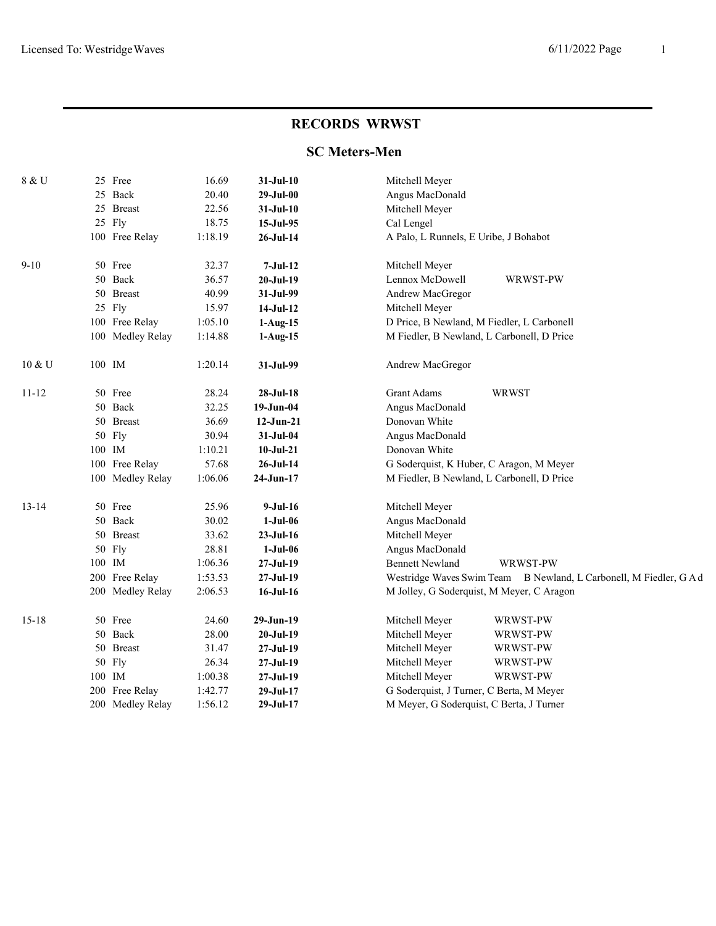### **RECORDS WRWST**

# **SC Meters-Men**

| 8 & U     | 25 Free          | 16.69   | $31-Jul-10$     | Mitchell Meyer                                                     |
|-----------|------------------|---------|-----------------|--------------------------------------------------------------------|
|           | 25 Back          | 20.40   | $29-Jul-00$     | Angus MacDonald                                                    |
|           | 25 Breast        | 22.56   | $31-Jul-10$     | Mitchell Meyer                                                     |
|           | 25 Fly           | 18.75   | 15-Jul-95       | Cal Lengel                                                         |
|           | 100 Free Relay   | 1:18.19 | 26-Jul-14       | A Palo, L Runnels, E Uribe, J Bohabot                              |
| $9 - 10$  | 50 Free          | 32.37   | $7-Jul-12$      | Mitchell Meyer                                                     |
|           | 50 Back          | 36.57   | $20-Jul-19$     | Lennox McDowell<br>WRWST-PW                                        |
|           | 50 Breast        | 40.99   | 31-Jul-99       | Andrew MacGregor                                                   |
|           | 25 Fly           | 15.97   | 14-Jul-12       | Mitchell Meyer                                                     |
|           | 100 Free Relay   | 1:05.10 | $1-Aug-15$      | D Price, B Newland, M Fiedler, L Carbonell                         |
|           | 100 Medley Relay | 1:14.88 | $1-Aug-15$      | M Fiedler, B Newland, L Carbonell, D Price                         |
| 10 & U    | 100 IM           | 1:20.14 | 31-Jul-99       | Andrew MacGregor                                                   |
| $11 - 12$ | 50 Free          | 28.24   | $28-Jul-18$     | <b>Grant Adams</b><br><b>WRWST</b>                                 |
|           | 50 Back          | 32.25   | 19-Jun-04       | Angus MacDonald                                                    |
|           | 50 Breast        | 36.69   | $12-Jun-21$     | Donovan White                                                      |
|           | 50 Fly           | 30.94   | 31-Jul-04       | Angus MacDonald                                                    |
|           | 100 IM           | 1:10.21 | $10-Jul-21$     | Donovan White                                                      |
|           | 100 Free Relay   | 57.68   | $26$ -Jul-14    | G Soderquist, K Huber, C Aragon, M Meyer                           |
|           | 100 Medley Relay | 1:06.06 | 24-Jun-17       | M Fiedler, B Newland, L Carbonell, D Price                         |
| $13 - 14$ | 50 Free          | 25.96   | $9-Jul-16$      | Mitchell Meyer                                                     |
|           | 50 Back          | 30.02   | $1-Jul-06$      | Angus MacDonald                                                    |
|           | 50 Breast        | 33.62   | $23-Jul-16$     | Mitchell Meyer                                                     |
|           | 50 Fly           | 28.81   | $1-Jul-06$      | Angus MacDonald                                                    |
|           | 100 IM           | 1:06.36 | $27-Jul-19$     | <b>Bennett Newland</b><br>WRWST-PW                                 |
|           | 200 Free Relay   | 1:53.53 | $27-Jul-19$     | Westridge Waves Swim Team B Newland, L Carbonell, M Fiedler, G A d |
|           | 200 Medley Relay | 2:06.53 | $16$ -Jul- $16$ | M Jolley, G Soderquist, M Meyer, C Aragon                          |
| $15 - 18$ | 50 Free          | 24.60   | 29-Jun-19       | Mitchell Meyer<br>WRWST-PW                                         |
|           | 50 Back          | 28.00   | $20-Jul-19$     | Mitchell Meyer<br>WRWST-PW                                         |
|           | 50 Breast        | 31.47   | 27-Jul-19       | Mitchell Meyer<br>WRWST-PW                                         |
|           | 50 Fly           | 26.34   | $27-Jul-19$     | Mitchell Meyer<br>WRWST-PW                                         |
|           | 100 IM           | 1:00.38 | 27-Jul-19       | Mitchell Meyer<br>WRWST-PW                                         |
|           | 200 Free Relay   | 1:42.77 | 29-Jul-17       | G Soderquist, J Turner, C Berta, M Meyer                           |
|           | 200 Medley Relay | 1:56.12 | $29-Jul-17$     | M Meyer, G Soderquist, C Berta, J Turner                           |